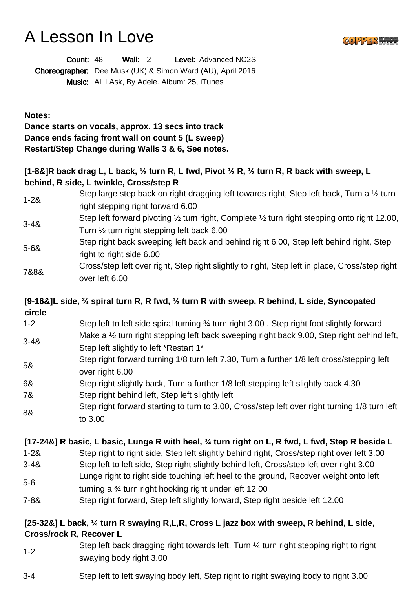# A Lesson In Love



| Count: 48                                                         | Wall: $2$ |                                                      | <b>Level: Advanced NC2S</b> |  |
|-------------------------------------------------------------------|-----------|------------------------------------------------------|-----------------------------|--|
| <b>Choreographer:</b> Dee Musk (UK) & Simon Ward (AU), April 2016 |           |                                                      |                             |  |
|                                                                   |           | <b>Music:</b> All I Ask, By Adele. Album: 25, iTunes |                             |  |

#### **Notes:**

**Dance starts on vocals, approx. 13 secs into track Dance ends facing front wall on count 5 (L sweep) Restart/Step Change during Walls 3 & 6, See notes.** 

### **[1-8&]R back drag L, L back, ½ turn R, L fwd, Pivot ½ R, ½ turn R, R back with sweep, L behind, R side, L twinkle, Cross/step R**

| $1 - 28$ | Step large step back on right dragging left towards right, Step left back, Turn a 1/2 turn                        |
|----------|-------------------------------------------------------------------------------------------------------------------|
|          | right stepping right forward 6.00                                                                                 |
| $3 - 48$ | Step left forward pivoting $\frac{1}{2}$ turn right, Complete $\frac{1}{2}$ turn right stepping onto right 12.00, |
|          | Turn $\frac{1}{2}$ turn right stepping left back 6.00                                                             |
| 5-6&     | Step right back sweeping left back and behind right 6.00, Step left behind right, Step                            |
|          | right to right side 6.00                                                                                          |
| 7&8&     | Cross/step left over right, Step right slightly to right, Step left in place, Cross/step right                    |
|          | over left 6.00                                                                                                    |

### **[9-16&]L side, ¾ spiral turn R, R fwd, ½ turn R with sweep, R behind, L side, Syncopated circle**

- 1-2 Step left to left side spiral turning ¾ turn right 3.00 , Step right foot slightly forward 3-4& Make a 1/2 turn right stepping left back sweeping right back 9.00, Step right behind left,
- Step left slightly to left \*Restart 1\* 5& Step right forward turning 1/8 turn left 7.30, Turn a further 1/8 left cross/stepping left over right 6.00
- 6& Step right slightly back, Turn a further 1/8 left stepping left slightly back 4.30 7& Step right behind left, Step left slightly left
- 8& Step right forward starting to turn to 3.00, Cross/step left over right turning 1/8 turn left to 3.00

### **[17-24&] R basic, L basic, Lunge R with heel, ¾ turn right on L, R fwd, L fwd, Step R beside L**

- 1-2& Step right to right side, Step left slightly behind right, Cross/step right over left 3.00
- 3-4& Step left to left side, Step right slightly behind left, Cross/step left over right 3.00
- 5-6 Lunge right to right side touching left heel to the ground, Recover weight onto left turning a ¾ turn right hooking right under left 12.00
- 7-8& Step right forward, Step left slightly forward, Step right beside left 12.00

#### **[25-32&] L back, ¼ turn R swaying R,L,R, Cross L jazz box with sweep, R behind, L side, Cross/rock R, Recover L**

- 1-2 Step left back dragging right towards left, Turn ¼ turn right stepping right to right swaying body right 3.00
- 3-4 Step left to left swaying body left, Step right to right swaying body to right 3.00